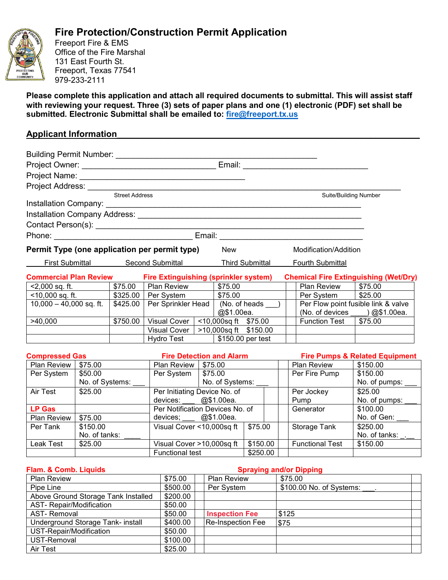

## **Fire Protection/Construction Permit Application**

Freeport Fire & EMS Office of the Fire Marshal 131 East Fourth St. Freeport, Texas 77541 979-233-2111

**Please complete this application and attach all required documents to submittal. This will assist staff with reviewing your request. Three (3) sets of paper plans and one (1) electronic (PDF) set shall be submitted. Electronic Submittal shall be emailed to: [fire@freeport.tx.us](mailto:fire@freeport.tx.us)**

## **Applicant Information\_\_\_\_\_\_\_\_\_\_\_\_\_\_\_\_\_\_\_\_\_\_\_\_\_\_\_\_\_\_\_\_\_\_\_\_\_\_\_\_\_\_\_\_\_\_\_\_\_\_\_\_\_\_\_\_\_\_\_\_\_\_**

| Project Owner: <u>__________________________________</u> |                 |                                        |                                               |                                                            |                                     |                      |                       |                                              |
|----------------------------------------------------------|-----------------|----------------------------------------|-----------------------------------------------|------------------------------------------------------------|-------------------------------------|----------------------|-----------------------|----------------------------------------------|
|                                                          |                 |                                        |                                               |                                                            |                                     |                      |                       |                                              |
|                                                          |                 |                                        |                                               |                                                            |                                     |                      |                       |                                              |
|                                                          |                 | <b>Street Address</b>                  |                                               |                                                            |                                     |                      |                       | <b>Suite/Building Number</b>                 |
|                                                          |                 |                                        |                                               |                                                            |                                     |                      |                       |                                              |
|                                                          |                 |                                        |                                               |                                                            |                                     |                      |                       |                                              |
|                                                          |                 |                                        |                                               |                                                            |                                     |                      |                       |                                              |
|                                                          |                 |                                        |                                               |                                                            |                                     |                      |                       |                                              |
|                                                          |                 |                                        | Permit Type (one application per permit type) |                                                            | <b>New</b>                          |                      | Modification/Addition |                                              |
|                                                          |                 |                                        |                                               | First Submittal Second Submittal<br><b>Third Submittal</b> |                                     |                      | Fourth Submittal      |                                              |
| <b>Commercial Plan Review</b>                            |                 |                                        | <b>Fire Extinguishing (sprinkler system)</b>  |                                                            |                                     |                      |                       | <b>Chemical Fire Extinguishing (Wet/Dry)</b> |
| $<$ 2,000 sq. ft.                                        |                 | \$75.00                                | Plan Review                                   | \$75.00                                                    |                                     | Plan Review          | \$75.00               |                                              |
|                                                          |                 |                                        |                                               |                                                            |                                     | Per System   \$25.00 |                       |                                              |
| 10,000 - 40,000 sq. ft.   \$425.00                       |                 |                                        | Per Sprinkler Head   (No. of heads __)        |                                                            | Per Flow point fusible link & valve |                      |                       |                                              |
|                                                          |                 |                                        |                                               |                                                            | @\$1.00ea.                          |                      |                       | (No. of devices $\qquad$ ) @\$1.00ea.        |
| \$750.00<br>>40,000                                      |                 | Visual Cover  <br><10,000sq ft \$75.00 |                                               |                                                            | <b>Function Test</b>                | \$75.00              |                       |                                              |
|                                                          |                 |                                        | Visual Cover                                  |                                                            | >10,000sq ft \$150.00               |                      |                       |                                              |
|                                                          |                 |                                        | Hydro Test                                    |                                                            | \$150.00 per test                   |                      |                       |                                              |
| <b>Compressed Gas</b>                                    |                 |                                        |                                               |                                                            | <b>Fire Detection and Alarm</b>     |                      |                       | <b>Fire Pumps &amp; Related Equipment</b>    |
| <b>Plan Review</b>                                       | \$75.00         |                                        | <b>Plan Review   \$75.00</b>                  |                                                            |                                     |                      | Plan Review           | \$150.00                                     |
| Per System                                               | \$50.00         |                                        | Per System                                    |                                                            | \$75.00                             |                      | Per Fire Pump         | \$150.00                                     |
|                                                          | No. of Systems: |                                        | No. of Systems:                               |                                                            |                                     |                      | No. of pumps: _       |                                              |
| Air Test                                                 | \$25.00         |                                        |                                               | Per Initiating Device No. of                               |                                     | Per Jockey           | \$25.00               |                                              |
|                                                          |                 |                                        | devices: $@$1.00ea.$                          |                                                            |                                     |                      | Pump                  | No. of pumps:                                |
| <b>LP Gas</b>                                            |                 |                                        |                                               | Per Notification Devices No. of                            |                                     |                      | Generator             | \$100.00                                     |
| $Plan$ Review $\frac{1}{2}$ \$75.00                      |                 |                                        | devices: @\$1,00ea                            |                                                            |                                     |                      |                       | No of Gen:                                   |

| <b>Plan Review</b> | \$75.00       | @\$1.00ea.<br>devices:          |          |                        | No. of Gen:   |
|--------------------|---------------|---------------------------------|----------|------------------------|---------------|
| Per Tank           | \$150.00      | Visual Cover $\leq$ 10,000sq ft | 575.00   | Storage Tank           | \$250.00      |
|                    | No. of tanks: |                                 |          |                        | No. of tanks: |
| Leak Test          | \$25.00       | Visual Cover >10,000sq ft       | \$150.00 | <b>Functional Test</b> | \$150.00      |
|                    |               | <b>Functional test</b>          | \$250.00 |                        |               |

| Flam. & Comb. Liquids               | <b>Spraying and/or Dipping</b> |  |                       |                          |  |  |
|-------------------------------------|--------------------------------|--|-----------------------|--------------------------|--|--|
| <b>Plan Review</b>                  | \$75.00                        |  | <b>Plan Review</b>    | \$75.00                  |  |  |
| Pipe Line                           | \$500.00                       |  | Per System            | \$100.00 No. of Systems: |  |  |
| Above Ground Storage Tank Installed | \$200.00                       |  |                       |                          |  |  |
| <b>AST- Repair/Modification</b>     | \$50.00                        |  |                       |                          |  |  |
| <b>AST-Removal</b>                  | \$50.00                        |  | <b>Inspection Fee</b> | \$125                    |  |  |
| Underground Storage Tank- install   | \$400.00                       |  | Re-Inspection Fee     | \$75                     |  |  |
| UST-Repair/Modification             | \$50.00                        |  |                       |                          |  |  |
| UST-Removal                         | \$100.00                       |  |                       |                          |  |  |
| Air Test                            | \$25.00                        |  |                       |                          |  |  |